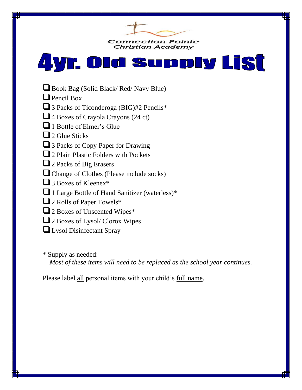### 4.Vr. Old Supply LiSt

- ■Book Bag (Solid Black/ Red/ Navy Blue)
- ❑Pencil Box
- 3 Packs of Ticonderoga (BIG)#2 Pencils\*
- ❑4 Boxes of Crayola Crayons (24 ct)
- ❑1 Bottle of Elmer's Glue
- □ 2 Glue Sticks
- 3 Packs of Copy Paper for Drawing
- □ 2 Plain Plastic Folders with Pockets
- ■2 Packs of Big Erasers
- ❑Change of Clothes (Please include socks)
- 3 Boxes of Kleenex<sup>\*</sup>
- ■1 Large Bottle of Hand Sanitizer (waterless)\*
- ■2 Rolls of Paper Towels<sup>\*</sup>
- ■2 Boxes of Unscented Wipes\*
- ■2 Boxes of Lysol/ Clorox Wipes
- ❑Lysol Disinfectant Spray

\* Supply as needed:

*Most of these items will need to be replaced as the school year continues.*

Please label all personal items with your child's full name.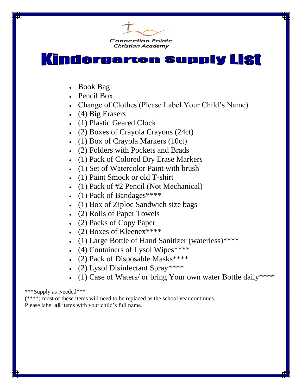

#### 1ST garten Supp**iy L** ì A

- Book Bag
- Pencil Box
- Change of Clothes (Please Label Your Child's Name)
- (4) Big Erasers
- (1) Plastic Geared Clock
- (2) Boxes of Crayola Crayons (24ct)
- (1) Box of Crayola Markers (10ct)
- (2) Folders with Pockets and Brads
- (1) Pack of Colored Dry Erase Markers
- (1) Set of Watercolor Paint with brush
- (1) Paint Smock or old T-shirt
- (1) Pack of #2 Pencil (Not Mechanical)
- (1) Pack of Bandages\*\*\*\*
- (1) Box of Ziploc Sandwich size bags
- (2) Rolls of Paper Towels
- (2) Packs of Copy Paper
- (2) Boxes of Kleenex\*\*\*\*
- (1) Large Bottle of Hand Sanitizer (waterless)\*\*\*\*
- (4) Containers of Lysol Wipes\*\*\*\*
- (2) Pack of Disposable Masks\*\*\*\*
- (2) Lysol Disinfectant Spray\*\*\*\*
- (1) Case of Waters/ or bring Your own water Bottle daily\*\*\*\*

\*\*\*Supply as Needed\*\*\*

(\*\*\*\*) most of these items will need to be replaced as the school year continues. Please label **all** items with your child's full name.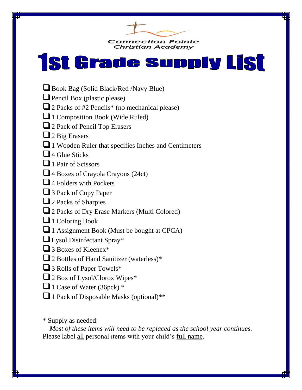### **1st Grade supply List**

- ■Book Bag (Solid Black/Red /Navy Blue)
- ❑Pencil Box (plastic please)
- □ 2 Packs of #2 Pencils<sup>\*</sup> (no mechanical please)
- ❑1 Composition Book (Wide Ruled)
- 2 Pack of Pencil Top Erasers
- ❑2 Big Erasers
- □1 Wooden Ruler that specifies Inches and Centimeters
- $\Box$  4 Glue Sticks
- □1 Pair of Scissors
- ❑4 Boxes of Crayola Crayons (24ct)
- $\Box$  4 Folders with Pockets
- ■3 Pack of Copy Paper
- ❑2 Packs of Sharpies
- □ 2 Packs of Dry Erase Markers (Multi Colored)
- ■1 Coloring Book
- ❑1 Assignment Book (Must be bought at CPCA)
- ■Lysol Disinfectant Spray\*
- □ 3 Boxes of Kleenex<sup>\*</sup>
- ■2 Bottles of Hand Sanitizer (waterless)\*
- ■3 Rolls of Paper Towels<sup>\*</sup>
- ■2 Box of Lysol/Clorox Wipes\*
- ❑1 Case of Water (36pck) \*
- ■1 Pack of Disposable Masks (optional)\*\*

\* Supply as needed:

*Most of these items will need to be replaced as the school year continues.* Please label all personal items with your child's full name.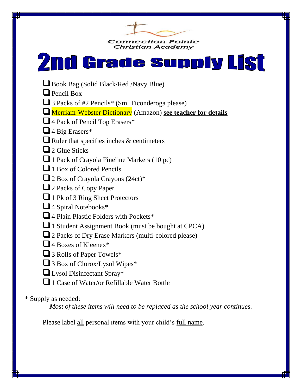# **2nd Grade supply List**

- ❑Book Bag (Solid Black/Red /Navy Blue)
- ❑Pencil Box
- □ 3 Packs of #2 Pencils\* (Sm. Ticonderoga please)
- ❑Merriam-Webster Dictionary (Amazon) **see teacher for details**
- □4 Pack of Pencil Top Erasers<sup>\*</sup>
- $\Box$  4 Big Erasers\*
- $\Box$  Ruler that specifies inches & centimeters
- $\Box$  2 Glue Sticks
- ❑1 Pack of Crayola Fineline Markers (10 pc)
- ❑1 Box of Colored Pencils
- $\Box$  2 Box of Crayola Crayons (24ct)\*
- ❑2 Packs of Copy Paper
- ■1 Pk of 3 Ring Sheet Protectors
- ■4 Spiral Notebooks<sup>\*</sup>
- $\Box$  4 Plain Plastic Folders with Pockets\*
- ❑1 Student Assignment Book (must be bought at CPCA)
- ❑2 Packs of Dry Erase Markers (multi-colored please)
- ■4 Boxes of Kleenex<sup>\*</sup>
- ■3 Rolls of Paper Towels\*
- ■3 Box of Clorox/Lysol Wipes\*
- ■Lysol Disinfectant Spray\*
- □1 Case of Water/or Refillable Water Bottle

### \* Supply as needed:

*Most of these items will need to be replaced as the school year continues.*

Please label all personal items with your child's full name.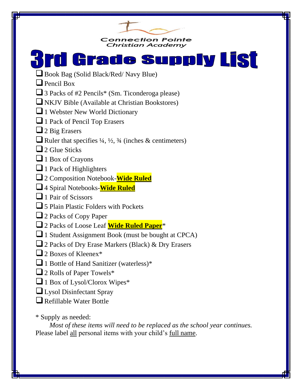## **3rd Grade supply List**

- □Book Bag (Solid Black/Red/ Navy Blue)
- ❑Pencil Box
- □ 3 Packs of #2 Pencils\* (Sm. Ticonderoga please)
- ❑NKJV Bible (Available at Christian Bookstores)
- □1 Webster New World Dictionary
- □1 Pack of Pencil Top Erasers
- □ 2 Big Erasers
- Ruler that specifies  $\frac{1}{4}$ ,  $\frac{1}{2}$ ,  $\frac{3}{4}$  (inches & centimeters)
- $\Box$  2 Glue Sticks
- □1 Box of Crayons
- $\Box$  1 Pack of Highlighters
- ❑2 Composition Notebook-**Wide Ruled**
- ❑4 Spiral Notebooks-**Wide Ruled**
- □1 Pair of Scissors
- ❑5 Plain Plastic Folders with Pockets
- 2 Packs of Copy Paper
- ❑2 Packs of Loose Leaf **Wide Ruled Paper**\*
- ❑1 Student Assignment Book (must be bought at CPCA)
- □2 Packs of Dry Erase Markers (Black) & Dry Erasers
- $\Box$  2 Boxes of Kleenex\*
- □1 Bottle of Hand Sanitizer (waterless)\*
- 2 Rolls of Paper Towels<sup>\*</sup>
- ■1 Box of Lysol/Clorox Wipes\*
- ❑Lysol Disinfectant Spray
- ■Refillable Water Bottle
- \* Supply as needed:

*Most of these items will need to be replaced as the school year continues.* Please label all personal items with your child's full name.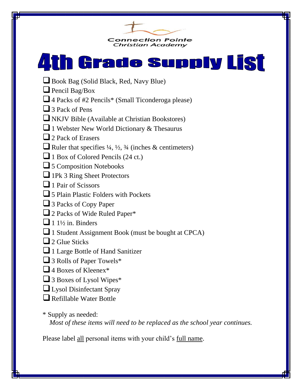# **4th Grade Supply List**

- ❑Book Bag (Solid Black, Red, Navy Blue)
- Pencil Bag/Box
- ❑4 Packs of #2 Pencils\* (Small Ticonderoga please)
- ❑3 Pack of Pens
- ■NKJV Bible (Available at Christian Bookstores)
- □1 Webster New World Dictionary & Thesaurus
- ❑2 Pack of Erasers
- $\Box$  Ruler that specifies  $\frac{1}{4}$ ,  $\frac{1}{2}$ ,  $\frac{3}{4}$  (inches & centimeters)
- □ 1 Box of Colored Pencils (24 ct.)
- 5 Composition Notebooks
- ■1Pk 3 Ring Sheet Protectors
- ❑1 Pair of Scissors
- □ 5 Plain Plastic Folders with Pockets
- ■3 Packs of Copy Paper
- ■2 Packs of Wide Ruled Paper\*
- $\Box$  1 1½ in. Binders
- ❑1 Student Assignment Book (must be bought at CPCA)
- $\Box$  2 Glue Sticks
- □1 Large Bottle of Hand Sanitizer
- 3 Rolls of Paper Towels<sup>\*</sup>
- $\Box$  4 Boxes of Kleenex\*
- ■3 Boxes of Lysol Wipes\*
- ❑Lysol Disinfectant Spray
- □ Refillable Water Bottle

#### \* Supply as needed:

*Most of these items will need to be replaced as the school year continues.*

Please label all personal items with your child's <u>full name</u>.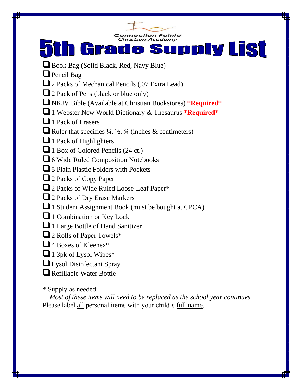e supply List H rad

**Connection Pointe**<br>Christian Academy

- ■Book Bag (Solid Black, Red, Navy Blue)
- ❑Pencil Bag
- □2 Packs of Mechanical Pencils (.07 Extra Lead)
- □ 2 Pack of Pens (black or blue only)
- ❑NKJV Bible (Available at Christian Bookstores) **\*Required\***
- ❑1 Webster New World Dictionary & Thesaurus **\*Required\***
- ❑1 Pack of Erasers
- Ruler that specifies  $\frac{1}{4}$ ,  $\frac{1}{2}$ ,  $\frac{3}{4}$  (inches & centimeters)
- ■1 Pack of Highlighters
- □1 Box of Colored Pencils (24 ct.)
- □ 6 Wide Ruled Composition Notebooks
- ❑5 Plain Plastic Folders with Pockets
- 2 Packs of Copy Paper
- □2 Packs of Wide Ruled Loose-Leaf Paper<sup>\*</sup>
- ■2 Packs of Dry Erase Markers
- □1 Student Assignment Book (must be bought at CPCA)
- ■1 Combination or Key Lock
- □1 Large Bottle of Hand Sanitizer
- 2 Rolls of Paper Towels<sup>\*</sup>
- ■4 Boxes of Kleenex<sup>\*</sup>
- $\Box$  1 3pk of Lysol Wipes\*
- ❑Lysol Disinfectant Spray
- ❑Refillable Water Bottle

\* Supply as needed:

*Most of these items will need to be replaced as the school year continues.* Please label all personal items with your child's full name.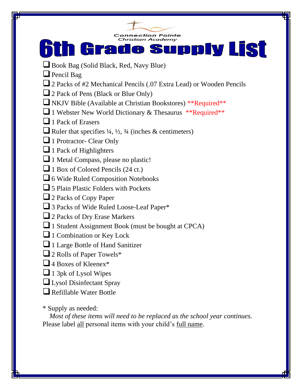**Connection Pointe**<br>Christian Academy e supply List H rad

- ■Book Bag (Solid Black, Red, Navy Blue)
- ❑Pencil Bag
- □2 Packs of #2 Mechanical Pencils (.07 Extra Lead) or Wooden Pencils
- □ 2 Pack of Pens (Black or Blue Only)
- ■NKJV Bible (Available at Christian Bookstores) \*\*Required\*\*
- □1 Webster New World Dictionary & Thesaurus \*\*Required\*\*
- ❑1 Pack of Erasers
- Ruler that specifies  $\frac{1}{4}$ ,  $\frac{1}{2}$ ,  $\frac{3}{4}$  (inches & centimeters)
- ■1 Protractor- Clear Only
- ■1 Pack of Highlighters
- □1 Metal Compass, please no plastic!
- □ 1 Box of Colored Pencils (24 ct.)
- □ 6 Wide Ruled Composition Notebooks
- ❑5 Plain Plastic Folders with Pockets
- ■2 Packs of Copy Paper
- ■3 Packs of Wide Ruled Loose-Leaf Paper\*
- ■2 Packs of Dry Erase Markers
- ❑1 Student Assignment Book (must be bought at CPCA)
- ■1 Combination or Key Lock
- ❑1 Large Bottle of Hand Sanitizer
- 2 Rolls of Paper Towels<sup>\*</sup>
- ■4 Boxes of Kleenex<sup>\*</sup>
- ■1 3pk of Lysol Wipes
- ❑Lysol Disinfectant Spray
- ❑Refillable Water Bottle
- \* Supply as needed:

*Most of these items will need to be replaced as the school year continues.* Please label <u>all</u> personal items with your child's <u>full name</u>.